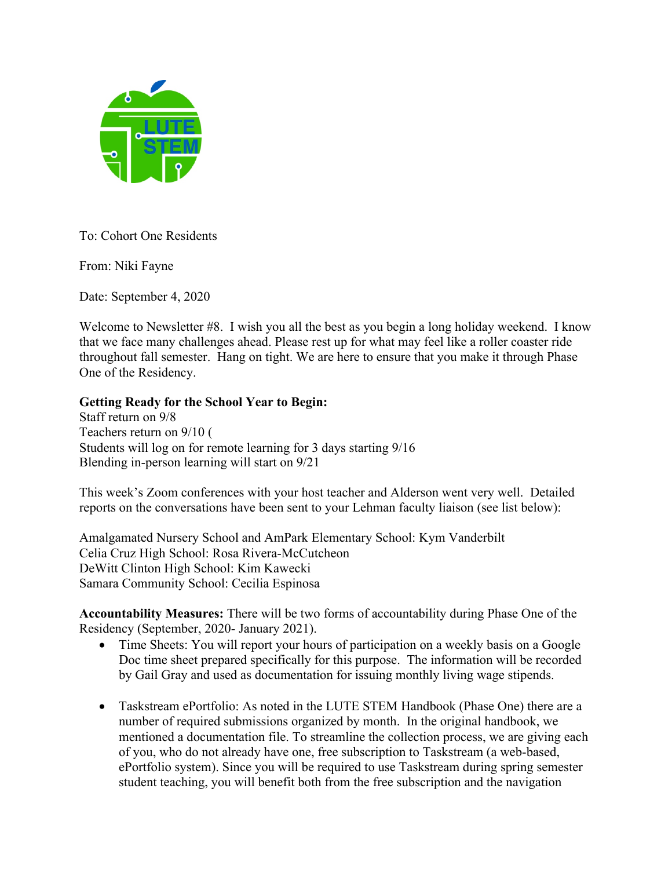

To: Cohort One Residents

From: Niki Fayne

Date: September 4, 2020

Welcome to Newsletter #8. I wish you all the best as you begin a long holiday weekend. I know that we face many challenges ahead. Please rest up for what may feel like a roller coaster ride throughout fall semester. Hang on tight. We are here to ensure that you make it through Phase One of the Residency.

## **Getting Ready for the School Year to Begin:**

Staff return on 9/8 Teachers return on 9/10 ( Students will log on for remote learning for 3 days starting 9/16 Blending in-person learning will start on 9/21

This week's Zoom conferences with your host teacher and Alderson went very well. Detailed reports on the conversations have been sent to your Lehman faculty liaison (see list below):

Amalgamated Nursery School and AmPark Elementary School: Kym Vanderbilt Celia Cruz High School: Rosa Rivera-McCutcheon DeWitt Clinton High School: Kim Kawecki Samara Community School: Cecilia Espinosa

**Accountability Measures:** There will be two forms of accountability during Phase One of the Residency (September, 2020- January 2021).

- Time Sheets: You will report your hours of participation on a weekly basis on a Google Doc time sheet prepared specifically for this purpose. The information will be recorded by Gail Gray and used as documentation for issuing monthly living wage stipends.
- Taskstream ePortfolio: As noted in the LUTE STEM Handbook (Phase One) there are a number of required submissions organized by month. In the original handbook, we mentioned a documentation file. To streamline the collection process, we are giving each of you, who do not already have one, free subscription to Taskstream (a web-based, ePortfolio system). Since you will be required to use Taskstream during spring semester student teaching, you will benefit both from the free subscription and the navigation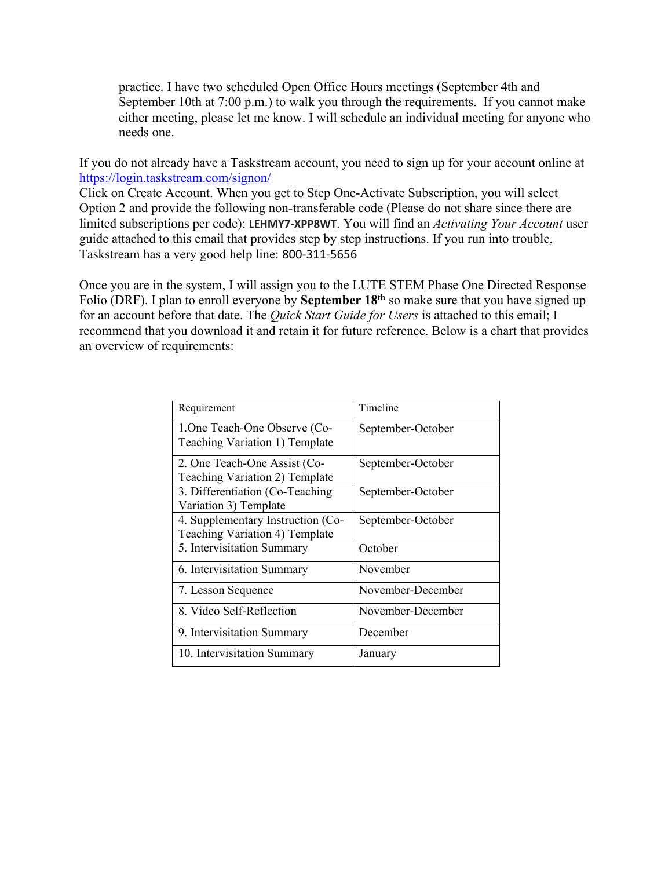practice. I have two scheduled Open Office Hours meetings (September 4th and September 10th at 7:00 p.m.) to walk you through the requirements. If you cannot make either meeting, please let me know. I will schedule an individual meeting for anyone who needs one.

If you do not already have a Taskstream account, you need to sign up for your account online at https://login.taskstream.com/signon/

Click on Create Account. When you get to Step One-Activate Subscription, you will select Option 2 and provide the following non-transferable code (Please do not share since there are limited subscriptions per code): **LEHMY7-XPP8WT**. You will find an *Activating Your Account* user guide attached to this email that provides step by step instructions. If you run into trouble, Taskstream has a very good help line: 800-311-5656

Once you are in the system, I will assign you to the LUTE STEM Phase One Directed Response Folio (DRF). I plan to enroll everyone by **September 18th** so make sure that you have signed up for an account before that date. The *Quick Start Guide for Users* is attached to this email; I recommend that you download it and retain it for future reference. Below is a chart that provides an overview of requirements:

| Requirement                                                         | Timeline          |
|---------------------------------------------------------------------|-------------------|
| 1. One Teach-One Observe (Co-<br>Teaching Variation 1) Template     | September-October |
| 2. One Teach-One Assist (Co-<br>Teaching Variation 2) Template      | September-October |
| 3. Differentiation (Co-Teaching<br>Variation 3) Template            | September-October |
| 4. Supplementary Instruction (Co-<br>Teaching Variation 4) Template | September-October |
| 5. Intervisitation Summary                                          | October           |
| 6. Intervisitation Summary                                          | November          |
| 7. Lesson Sequence                                                  | November-December |
| 8. Video Self-Reflection                                            | November-December |
| 9. Intervisitation Summary                                          | December          |
| 10. Intervisitation Summary                                         | January           |